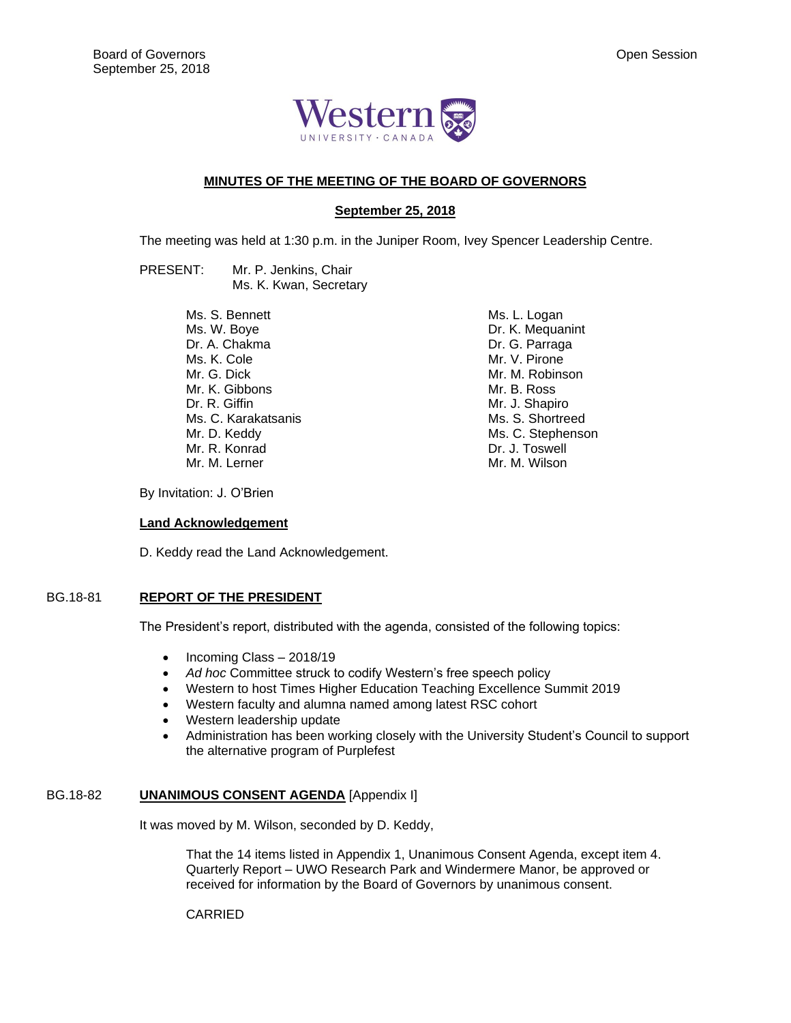

## **MINUTES OF THE MEETING OF THE BOARD OF GOVERNORS**

# **September 25, 2018**

The meeting was held at 1:30 p.m. in the Juniper Room, Ivey Spencer Leadership Centre.

PRESENT: Mr. P. Jenkins, Chair Ms. K. Kwan, Secretary

> Ms. S. Bennett Ms. W. Boye Dr. A. Chakma Ms. K. Cole Mr. G. Dick Mr. K. Gibbons Dr. R. Giffin Ms. C. Karakatsanis Mr. D. Keddy Mr. R. Konrad Mr. M. Lerner

Ms. L. Logan Dr. K. Mequanint Dr. G. Parraga Mr. V. Pirone Mr. M. Robinson Mr. B. Ross Mr. J. Shapiro Ms. S. Shortreed Ms. C. Stephenson Dr. J. Toswell Mr. M. Wilson

By Invitation: J. O'Brien

#### **Land Acknowledgement**

D. Keddy read the Land Acknowledgement.

## BG.18-81 **REPORT OF THE PRESIDENT**

The President's report, distributed with the agenda, consisted of the following topics:

- Incoming Class 2018/19
- *Ad hoc* Committee struck to codify Western's free speech policy
- Western to host Times Higher Education Teaching Excellence Summit 2019
- Western faculty and alumna named among latest RSC cohort
- Western leadership update
- Administration has been working closely with the University Student's Council to support the alternative program of Purplefest

# BG.18-82 **UNANIMOUS CONSENT AGENDA** [Appendix I]

It was moved by M. Wilson, seconded by D. Keddy,

That the 14 items listed in Appendix 1, Unanimous Consent Agenda, except item 4. Quarterly Report – UWO Research Park and Windermere Manor, be approved or received for information by the Board of Governors by unanimous consent.

CARRIED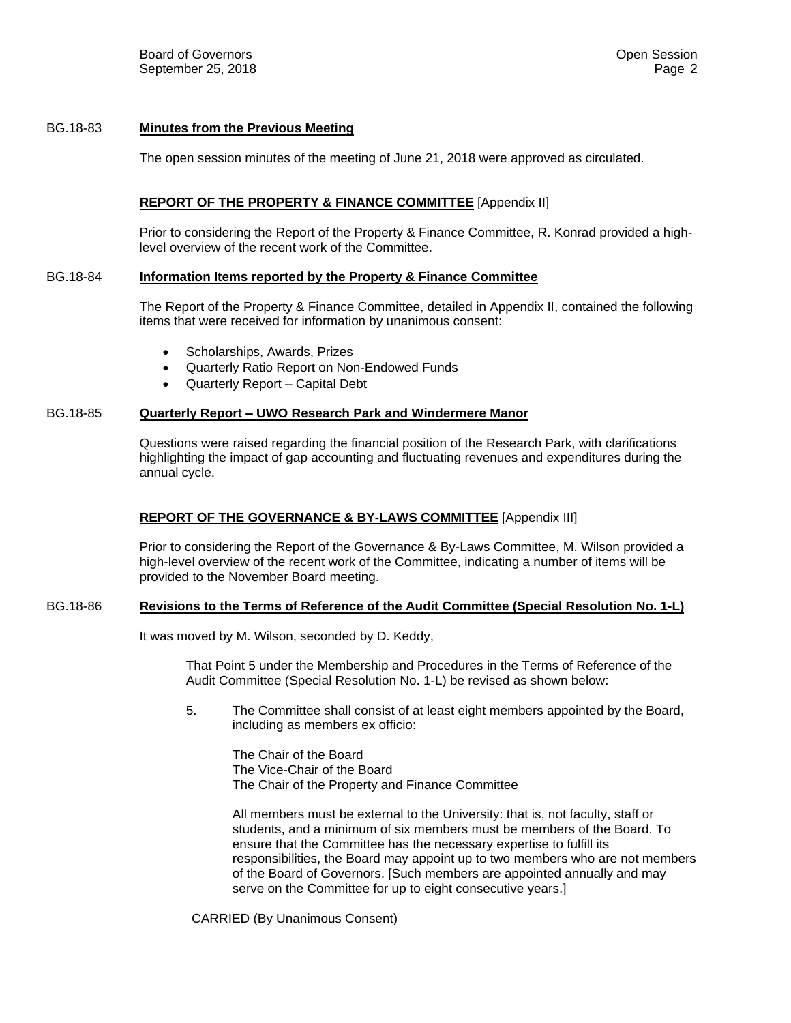# BG.18-83 **Minutes from the Previous Meeting**

The open session minutes of the meeting of June 21, 2018 were approved as circulated.

## **REPORT OF THE PROPERTY & FINANCE COMMITTEE** [Appendix II]

Prior to considering the Report of the Property & Finance Committee, R. Konrad provided a highlevel overview of the recent work of the Committee.

### BG.18-84 **Information Items reported by the Property & Finance Committee**

The Report of the Property & Finance Committee, detailed in Appendix II, contained the following items that were received for information by unanimous consent:

- Scholarships, Awards, Prizes
- Quarterly Ratio Report on Non-Endowed Funds
- Quarterly Report Capital Debt

#### BG.18-85 **Quarterly Report – UWO Research Park and Windermere Manor**

Questions were raised regarding the financial position of the Research Park, with clarifications highlighting the impact of gap accounting and fluctuating revenues and expenditures during the annual cycle.

## **REPORT OF THE GOVERNANCE & BY-LAWS COMMITTEE** [Appendix III]

Prior to considering the Report of the Governance & By-Laws Committee, M. Wilson provided a high-level overview of the recent work of the Committee, indicating a number of items will be provided to the November Board meeting.

#### BG.18-86 **Revisions to the Terms of Reference of the Audit Committee (Special Resolution No. 1-L)**

It was moved by M. Wilson, seconded by D. Keddy,

That Point 5 under the Membership and Procedures in the Terms of Reference of the Audit Committee (Special Resolution No. 1-L) be revised as shown below:

5. The Committee shall consist of at least eight members appointed by the Board, including as members ex officio:

The Chair of the Board The Vice-Chair of the Board The Chair of the Property and Finance Committee

All members must be external to the University: that is, not faculty, staff or students, and a minimum of six members must be members of the Board. To ensure that the Committee has the necessary expertise to fulfill its responsibilities, the Board may appoint up to two members who are not members of the Board of Governors. [Such members are appointed annually and may serve on the Committee for up to eight consecutive years.]

CARRIED (By Unanimous Consent)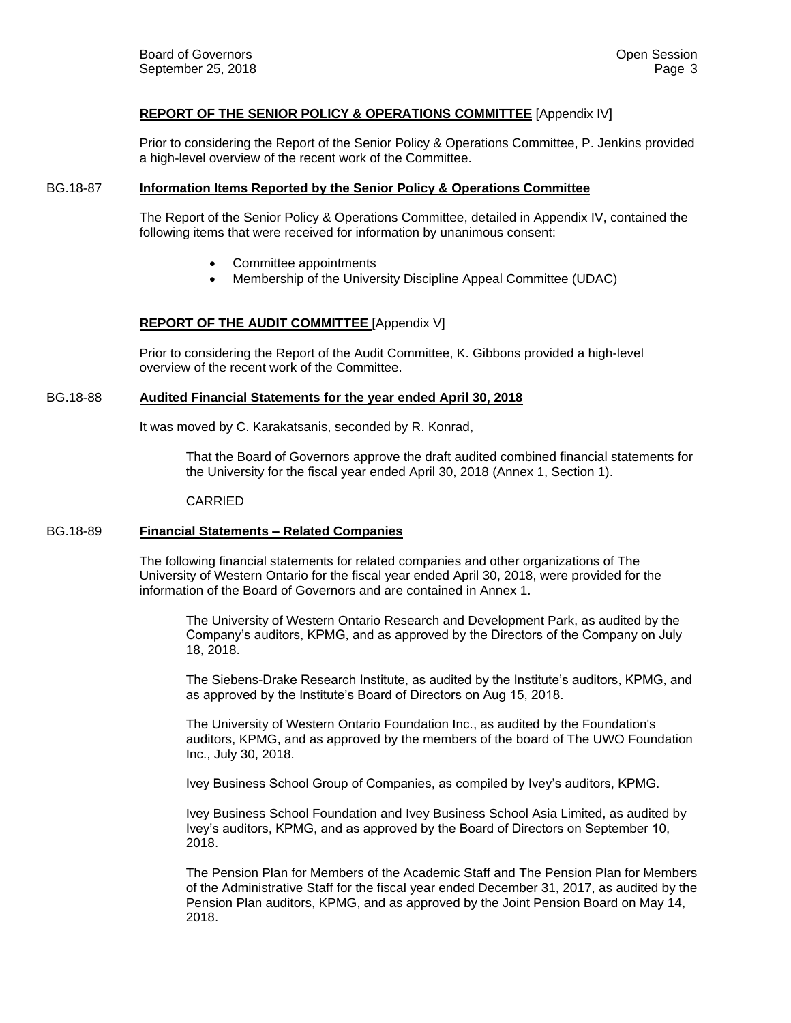# **REPORT OF THE SENIOR POLICY & OPERATIONS COMMITTEE** [Appendix IV]

Prior to considering the Report of the Senior Policy & Operations Committee, P. Jenkins provided a high-level overview of the recent work of the Committee.

### BG.18-87 **Information Items Reported by the Senior Policy & Operations Committee**

The Report of the Senior Policy & Operations Committee, detailed in Appendix IV, contained the following items that were received for information by unanimous consent:

- Committee appointments
- Membership of the University Discipline Appeal Committee (UDAC)

## **REPORT OF THE AUDIT COMMITTEE** [Appendix V]

Prior to considering the Report of the Audit Committee, K. Gibbons provided a high-level overview of the recent work of the Committee.

## BG.18-88 **Audited Financial Statements for the year ended April 30, 2018**

It was moved by C. Karakatsanis, seconded by R. Konrad,

That the Board of Governors approve the draft audited combined financial statements for the University for the fiscal year ended April 30, 2018 (Annex 1, Section 1).

#### CARRIED

#### BG.18-89 **Financial Statements – Related Companies**

The following financial statements for related companies and other organizations of The University of Western Ontario for the fiscal year ended April 30, 2018, were provided for the information of the Board of Governors and are contained in Annex 1.

The University of Western Ontario Research and Development Park, as audited by the Company's auditors, KPMG, and as approved by the Directors of the Company on July 18, 2018.

The Siebens-Drake Research Institute, as audited by the Institute's auditors, KPMG, and as approved by the Institute's Board of Directors on Aug 15, 2018.

The University of Western Ontario Foundation Inc., as audited by the Foundation's auditors, KPMG, and as approved by the members of the board of The UWO Foundation Inc., July 30, 2018.

Ivey Business School Group of Companies, as compiled by Ivey's auditors, KPMG.

Ivey Business School Foundation and Ivey Business School Asia Limited, as audited by Ivey's auditors, KPMG, and as approved by the Board of Directors on September 10, 2018.

The Pension Plan for Members of the Academic Staff and The Pension Plan for Members of the Administrative Staff for the fiscal year ended December 31, 2017, as audited by the Pension Plan auditors, KPMG, and as approved by the Joint Pension Board on May 14, 2018.